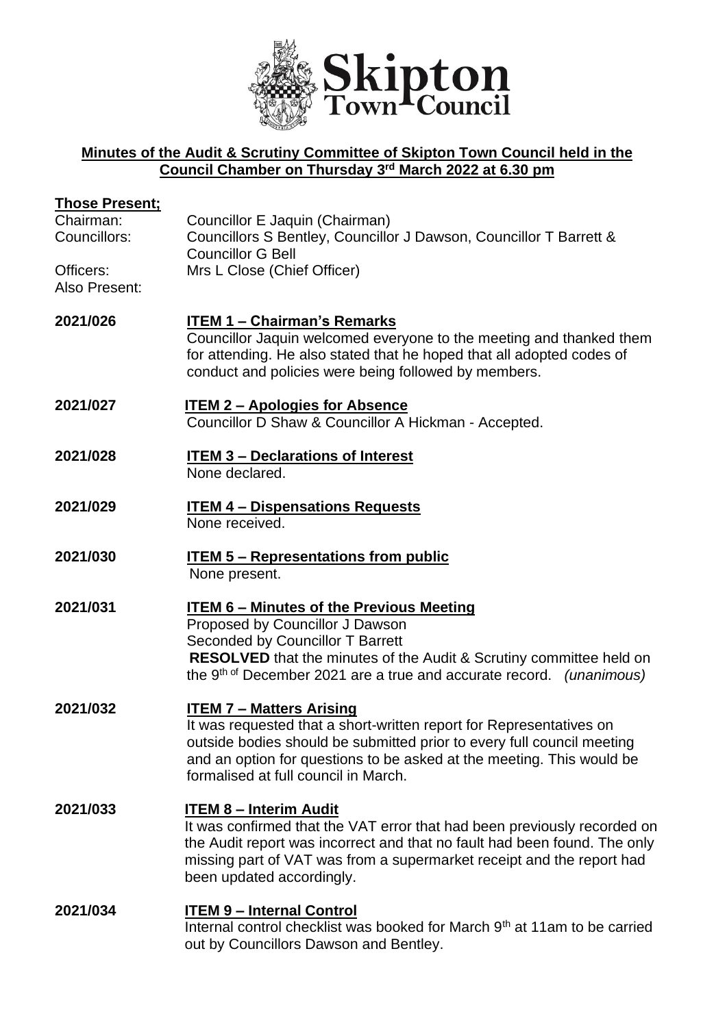

## **Minutes of the Audit & Scrutiny Committee of Skipton Town Council held in the Council Chamber on Thursday 3 rd March 2022 at 6.30 pm**

| <b>Those Present;</b>      |                                                                                                                                                                                                                                                                                                   |
|----------------------------|---------------------------------------------------------------------------------------------------------------------------------------------------------------------------------------------------------------------------------------------------------------------------------------------------|
| Chairman:<br>Councillors:  | Councillor E Jaquin (Chairman)<br>Councillors S Bentley, Councillor J Dawson, Councillor T Barrett &<br><b>Councillor G Bell</b>                                                                                                                                                                  |
| Officers:<br>Also Present: | Mrs L Close (Chief Officer)                                                                                                                                                                                                                                                                       |
| 2021/026                   | <b>ITEM 1 - Chairman's Remarks</b><br>Councillor Jaquin welcomed everyone to the meeting and thanked them<br>for attending. He also stated that he hoped that all adopted codes of<br>conduct and policies were being followed by members.                                                        |
| 2021/027                   | <b>ITEM 2 - Apologies for Absence</b><br>Councillor D Shaw & Councillor A Hickman - Accepted.                                                                                                                                                                                                     |
| 2021/028                   | <b>ITEM 3 - Declarations of Interest</b><br>None declared.                                                                                                                                                                                                                                        |
| 2021/029                   | <b>ITEM 4 - Dispensations Requests</b><br>None received.                                                                                                                                                                                                                                          |
| 2021/030                   | <b>ITEM 5 - Representations from public</b><br>None present.                                                                                                                                                                                                                                      |
| 2021/031                   | <b>ITEM 6 - Minutes of the Previous Meeting</b><br>Proposed by Councillor J Dawson<br>Seconded by Councillor T Barrett<br><b>RESOLVED</b> that the minutes of the Audit & Scrutiny committee held on<br>the 9 <sup>th of</sup> December 2021 are a true and accurate record. <i>(unanimous)</i>   |
| 2021/032                   | <b>ITEM 7 - Matters Arising</b><br>It was requested that a short-written report for Representatives on<br>outside bodies should be submitted prior to every full council meeting<br>and an option for questions to be asked at the meeting. This would be<br>formalised at full council in March. |
| 2021/033                   | <b>ITEM 8 - Interim Audit</b><br>It was confirmed that the VAT error that had been previously recorded on<br>the Audit report was incorrect and that no fault had been found. The only<br>missing part of VAT was from a supermarket receipt and the report had<br>been updated accordingly.      |
| 2021/034                   | <b>ITEM 9 - Internal Control</b><br>Internal control checklist was booked for March 9th at 11am to be carried<br>out by Councillors Dawson and Bentley.                                                                                                                                           |